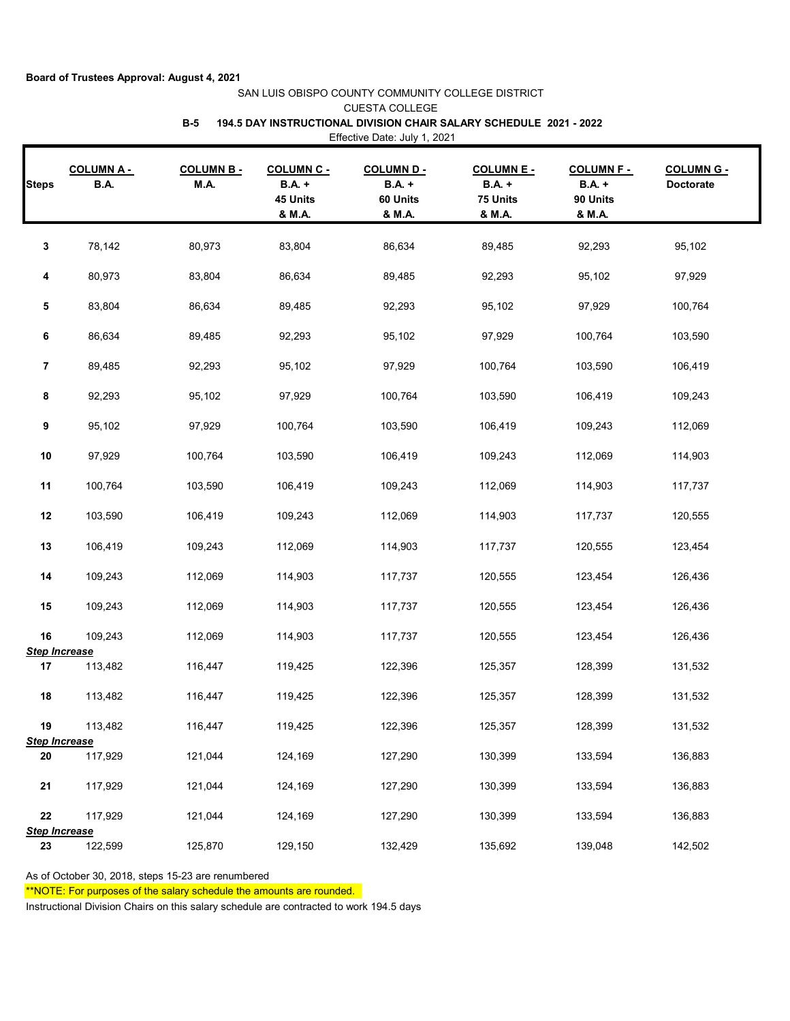## **Board of Trustees Approval: August 4, 2021**

## SAN LUIS OBISPO COUNTY COMMUNITY COLLEGE DISTRICT CUESTA COLLEGE **B-5 194.5 DAY INSTRUCTIONAL DIVISION CHAIR SALARY SCHEDULE 2021 - 2022** Effective Date: July 1, 2021

| <b>Steps</b>               | <b>COLUMNA-</b><br><b>B.A.</b> | <b>COLUMN B-</b><br>M.A. | <b>COLUMN C -</b><br>$B.A. +$<br>45 Units<br>& M.A. | <b>COLUMN D-</b><br>$B.A. +$<br>60 Units<br>& M.A. | <b>COLUMNE-</b><br>$B.A. +$<br>75 Units<br>& M.A. | <b>COLUMN F -</b><br><b>B.A.</b> +<br>90 Units<br>& M.A. | <b>COLUMN G -</b><br><b>Doctorate</b> |
|----------------------------|--------------------------------|--------------------------|-----------------------------------------------------|----------------------------------------------------|---------------------------------------------------|----------------------------------------------------------|---------------------------------------|
| 3                          | 78,142                         | 80,973                   | 83,804                                              | 86,634                                             | 89,485                                            | 92,293                                                   | 95,102                                |
| 4                          | 80,973                         | 83,804                   | 86,634                                              | 89,485                                             | 92,293                                            | 95,102                                                   | 97,929                                |
| 5                          | 83,804                         | 86,634                   | 89,485                                              | 92,293                                             | 95,102                                            | 97,929                                                   | 100,764                               |
| 6                          | 86,634                         | 89,485                   | 92,293                                              | 95,102                                             | 97,929                                            | 100,764                                                  | 103,590                               |
| $\overline{7}$             | 89,485                         | 92,293                   | 95,102                                              | 97,929                                             | 100,764                                           | 103,590                                                  | 106,419                               |
| 8                          | 92,293                         | 95,102                   | 97,929                                              | 100,764                                            | 103,590                                           | 106,419                                                  | 109,243                               |
| 9                          | 95,102                         | 97,929                   | 100,764                                             | 103,590                                            | 106,419                                           | 109,243                                                  | 112,069                               |
| $10$                       | 97,929                         | 100,764                  | 103,590                                             | 106,419                                            | 109,243                                           | 112,069                                                  | 114,903                               |
| 11                         | 100,764                        | 103,590                  | 106,419                                             | 109,243                                            | 112,069                                           | 114,903                                                  | 117,737                               |
| 12                         | 103,590                        | 106,419                  | 109,243                                             | 112,069                                            | 114,903                                           | 117,737                                                  | 120,555                               |
| 13                         | 106,419                        | 109,243                  | 112,069                                             | 114,903                                            | 117,737                                           | 120,555                                                  | 123,454                               |
| 14                         | 109,243                        | 112,069                  | 114,903                                             | 117,737                                            | 120,555                                           | 123,454                                                  | 126,436                               |
| 15                         | 109,243                        | 112,069                  | 114,903                                             | 117,737                                            | 120,555                                           | 123,454                                                  | 126,436                               |
| 16<br><b>Step Increase</b> | 109,243                        | 112,069                  | 114,903                                             | 117,737                                            | 120,555                                           | 123,454                                                  | 126,436                               |
| 17                         | 113,482                        | 116,447                  | 119,425                                             | 122,396                                            | 125,357                                           | 128,399                                                  | 131,532                               |
| 18                         | 113,482                        | 116,447                  | 119,425                                             | 122,396                                            | 125,357                                           | 128,399                                                  | 131,532                               |
| 19<br><b>Step Increase</b> | 113,482                        | 116,447                  | 119,425                                             | 122,396                                            | 125,357                                           | 128,399                                                  | 131,532                               |
| 20                         | 117,929                        | 121,044                  | 124,169                                             | 127,290                                            | 130,399                                           | 133,594                                                  | 136,883                               |
| 21                         | 117,929                        | 121,044                  | 124,169                                             | 127,290                                            | 130,399                                           | 133,594                                                  | 136,883                               |
| ${\bf 22}$                 | 117,929                        | 121,044                  | 124,169                                             | 127,290                                            | 130,399                                           | 133,594                                                  | 136,883                               |
| <b>Step Increase</b><br>23 | 122,599                        | 125,870                  | 129,150                                             | 132,429                                            | 135,692                                           | 139,048                                                  | 142,502                               |

As of October 30, 2018, steps 15-23 are renumbered

\*\*NOTE: For purposes of the salary schedule the amounts are rounded.

Instructional Division Chairs on this salary schedule are contracted to work 194.5 days